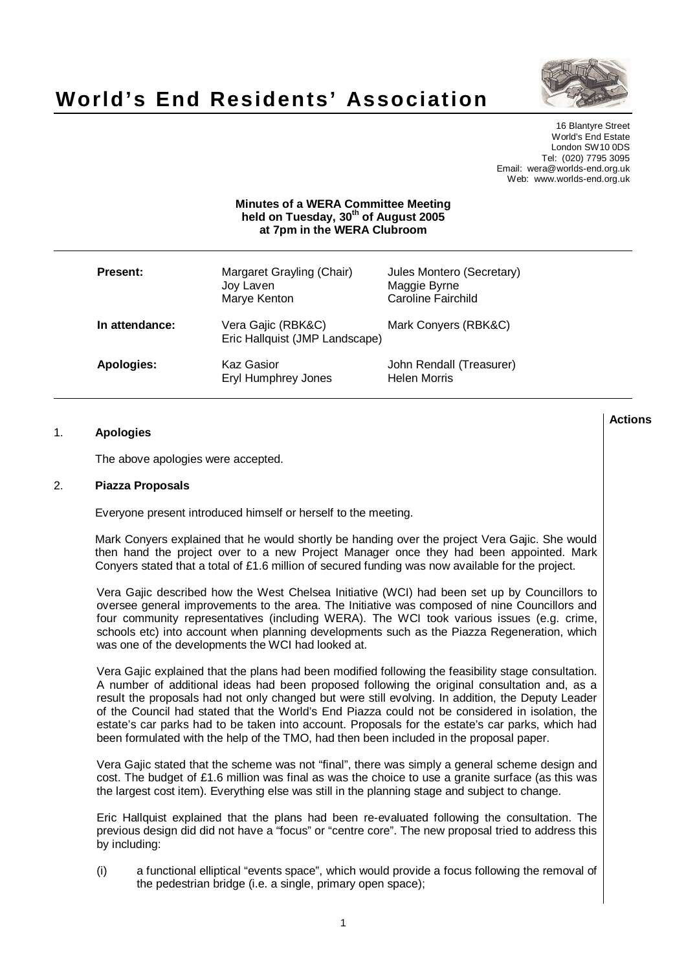



16 Blantyre Street World's End Estate London SW10 0DS Tel: (020) 7795 3095 Email: wera@worlds-end.org.uk Web: www.worlds-end.org.uk

## **Minutes of a WERA Committee Meeting held on Tuesday, 30 th of August 2005 at 7pm in the WERA Clubroom**

| Present:          | Margaret Grayling (Chair)<br>Joy Laven<br>Marye Kenton | Jules Montero (Secretary)<br>Maggie Byrne<br><b>Caroline Fairchild</b> |
|-------------------|--------------------------------------------------------|------------------------------------------------------------------------|
| In attendance:    | Vera Gajic (RBK&C)<br>Eric Hallquist (JMP Landscape)   | Mark Conyers (RBK&C)                                                   |
| <b>Apologies:</b> | Kaz Gasior<br>Eryl Humphrey Jones                      | John Rendall (Treasurer)<br><b>Helen Morris</b>                        |

## 1. **Apologies**

The above apologies were accepted.

## 2. **Piazza Proposals**

Everyone present introduced himself or herself to the meeting.

Mark Conyers explained that he would shortly be handing over the project Vera Gajic. She would then hand the project over to a new Project Manager once they had been appointed. Mark Conyers stated that a total of £1.6 million of secured funding was now available for the project.

Vera Gajic described how the West Chelsea Initiative (WCI) had been set up by Councillors to oversee general improvements to the area. The Initiative was composed of nine Councillors and four community representatives (including WERA). The WCI took various issues (e.g. crime, schools etc) into account when planning developments such as the Piazza Regeneration, which was one of the developments the WCI had looked at.

Vera Gajic explained that the plans had been modified following the feasibility stage consultation. A number of additional ideas had been proposed following the original consultation and, as a result the proposals had not only changed but were still evolving. In addition, the Deputy Leader of the Council had stated that the World's End Piazza could not be considered in isolation, the estate's car parks had to be taken into account. Proposals for the estate's car parks, which had been formulated with the help of the TMO, had then been included in the proposal paper.

Vera Gajic stated that the scheme was not "final", there was simply a general scheme design and cost. The budget of £1.6 million was final as was the choice to use a granite surface (as this was the largest cost item). Everything else was still in the planning stage and subject to change.

Eric Hallquist explained that the plans had been re-evaluated following the consultation. The previous design did did not have a "focus" or "centre core". The new proposal tried to address this by including:

(i) a functional elliptical "events space", which would provide a focus following the removal of the pedestrian bridge (i.e. a single, primary open space);

**Actions**